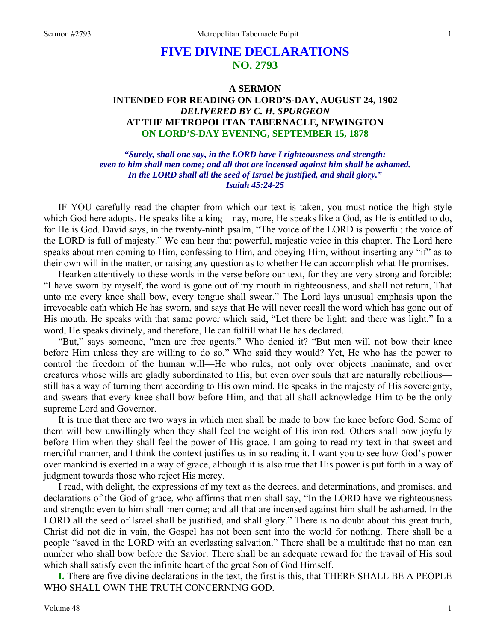# **FIVE DIVINE DECLARATIONS NO. 2793**

## **A SERMON INTENDED FOR READING ON LORD'S-DAY, AUGUST 24, 1902**  *DELIVERED BY C. H. SPURGEON*  **AT THE METROPOLITAN TABERNACLE, NEWINGTON ON LORD'S-DAY EVENING, SEPTEMBER 15, 1878**

*"Surely, shall one say, in the LORD have I righteousness and strength: even to him shall men come; and all that are incensed against him shall be ashamed. In the LORD shall all the seed of Israel be justified, and shall glory." Isaiah 45:24-25* 

IF YOU carefully read the chapter from which our text is taken, you must notice the high style which God here adopts. He speaks like a king—nay, more, He speaks like a God, as He is entitled to do, for He is God. David says, in the twenty-ninth psalm, "The voice of the LORD is powerful; the voice of the LORD is full of majesty." We can hear that powerful, majestic voice in this chapter. The Lord here speaks about men coming to Him, confessing to Him, and obeying Him, without inserting any "if" as to their own will in the matter, or raising any question as to whether He can accomplish what He promises.

Hearken attentively to these words in the verse before our text, for they are very strong and forcible: "I have sworn by myself, the word is gone out of my mouth in righteousness, and shall not return, That unto me every knee shall bow, every tongue shall swear." The Lord lays unusual emphasis upon the irrevocable oath which He has sworn, and says that He will never recall the word which has gone out of His mouth. He speaks with that same power which said, "Let there be light: and there was light." In a word, He speaks divinely, and therefore, He can fulfill what He has declared.

"But," says someone, "men are free agents." Who denied it? "But men will not bow their knee before Him unless they are willing to do so." Who said they would? Yet, He who has the power to control the freedom of the human will—He who rules, not only over objects inanimate, and over creatures whose wills are gladly subordinated to His, but even over souls that are naturally rebellious still has a way of turning them according to His own mind. He speaks in the majesty of His sovereignty, and swears that every knee shall bow before Him, and that all shall acknowledge Him to be the only supreme Lord and Governor.

It is true that there are two ways in which men shall be made to bow the knee before God. Some of them will bow unwillingly when they shall feel the weight of His iron rod. Others shall bow joyfully before Him when they shall feel the power of His grace. I am going to read my text in that sweet and merciful manner, and I think the context justifies us in so reading it. I want you to see how God's power over mankind is exerted in a way of grace, although it is also true that His power is put forth in a way of judgment towards those who reject His mercy.

I read, with delight, the expressions of my text as the decrees, and determinations, and promises, and declarations of the God of grace, who affirms that men shall say, "In the LORD have we righteousness and strength: even to him shall men come; and all that are incensed against him shall be ashamed. In the LORD all the seed of Israel shall be justified, and shall glory." There is no doubt about this great truth, Christ did not die in vain, the Gospel has not been sent into the world for nothing. There shall be a people "saved in the LORD with an everlasting salvation." There shall be a multitude that no man can number who shall bow before the Savior. There shall be an adequate reward for the travail of His soul which shall satisfy even the infinite heart of the great Son of God Himself.

**I.** There are five divine declarations in the text, the first is this, that THERE SHALL BE A PEOPLE WHO SHALL OWN THE TRUTH CONCERNING GOD.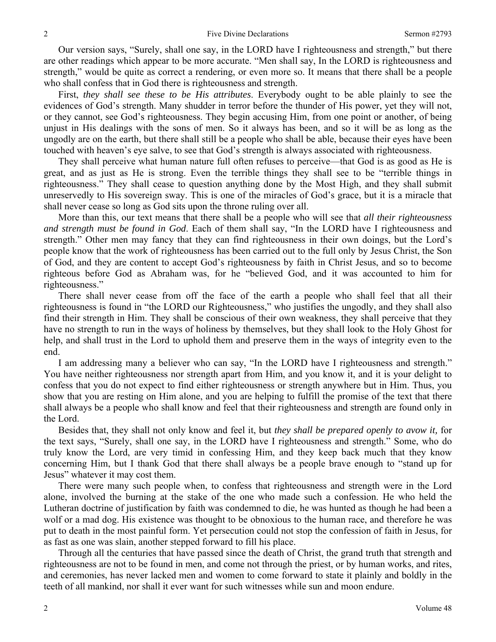Our version says, "Surely, shall one say, in the LORD have I righteousness and strength," but there are other readings which appear to be more accurate. "Men shall say, In the LORD is righteousness and strength," would be quite as correct a rendering, or even more so. It means that there shall be a people who shall confess that in God there is righteousness and strength.

First, *they shall see these to be His attributes*. Everybody ought to be able plainly to see the evidences of God's strength. Many shudder in terror before the thunder of His power, yet they will not, or they cannot, see God's righteousness. They begin accusing Him, from one point or another, of being unjust in His dealings with the sons of men. So it always has been, and so it will be as long as the ungodly are on the earth, but there shall still be a people who shall be able, because their eyes have been touched with heaven's eye salve, to see that God's strength is always associated with righteousness.

They shall perceive what human nature full often refuses to perceive—that God is as good as He is great, and as just as He is strong. Even the terrible things they shall see to be "terrible things in righteousness." They shall cease to question anything done by the Most High, and they shall submit unreservedly to His sovereign sway. This is one of the miracles of God's grace, but it is a miracle that shall never cease so long as God sits upon the throne ruling over all.

More than this, our text means that there shall be a people who will see that *all their righteousness and strength must be found in God*. Each of them shall say, "In the LORD have I righteousness and strength." Other men may fancy that they can find righteousness in their own doings, but the Lord's people know that the work of righteousness has been carried out to the full only by Jesus Christ, the Son of God, and they are content to accept God's righteousness by faith in Christ Jesus, and so to become righteous before God as Abraham was, for he "believed God, and it was accounted to him for righteousness."

There shall never cease from off the face of the earth a people who shall feel that all their righteousness is found in "the LORD our Righteousness," who justifies the ungodly, and they shall also find their strength in Him. They shall be conscious of their own weakness, they shall perceive that they have no strength to run in the ways of holiness by themselves, but they shall look to the Holy Ghost for help, and shall trust in the Lord to uphold them and preserve them in the ways of integrity even to the end.

I am addressing many a believer who can say, "In the LORD have I righteousness and strength." You have neither righteousness nor strength apart from Him, and you know it, and it is your delight to confess that you do not expect to find either righteousness or strength anywhere but in Him. Thus, you show that you are resting on Him alone, and you are helping to fulfill the promise of the text that there shall always be a people who shall know and feel that their righteousness and strength are found only in the Lord.

Besides that, they shall not only know and feel it, but *they shall be prepared openly to avow it,* for the text says, "Surely, shall one say, in the LORD have I righteousness and strength." Some, who do truly know the Lord, are very timid in confessing Him, and they keep back much that they know concerning Him, but I thank God that there shall always be a people brave enough to "stand up for Jesus" whatever it may cost them.

There were many such people when, to confess that righteousness and strength were in the Lord alone, involved the burning at the stake of the one who made such a confession. He who held the Lutheran doctrine of justification by faith was condemned to die, he was hunted as though he had been a wolf or a mad dog. His existence was thought to be obnoxious to the human race, and therefore he was put to death in the most painful form. Yet persecution could not stop the confession of faith in Jesus, for as fast as one was slain, another stepped forward to fill his place.

Through all the centuries that have passed since the death of Christ, the grand truth that strength and righteousness are not to be found in men, and come not through the priest, or by human works, and rites, and ceremonies, has never lacked men and women to come forward to state it plainly and boldly in the teeth of all mankind, nor shall it ever want for such witnesses while sun and moon endure.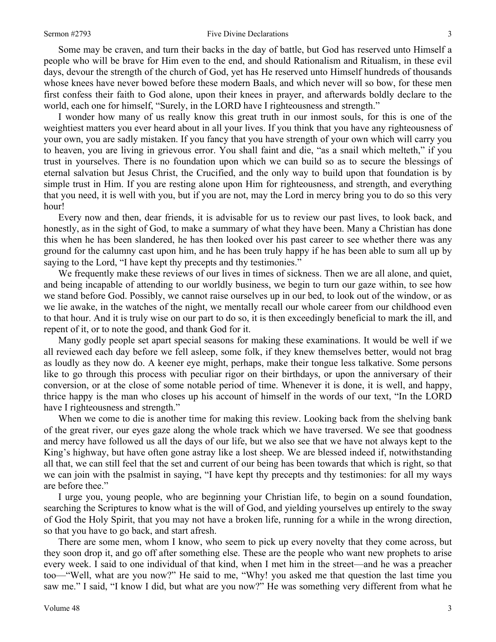#### Sermon #2793 **Sermon #2793** Five Divine Declarations 3

Some may be craven, and turn their backs in the day of battle, but God has reserved unto Himself a people who will be brave for Him even to the end, and should Rationalism and Ritualism, in these evil days, devour the strength of the church of God, yet has He reserved unto Himself hundreds of thousands whose knees have never bowed before these modern Baals, and which never will so bow, for these men first confess their faith to God alone, upon their knees in prayer, and afterwards boldly declare to the world, each one for himself, "Surely, in the LORD have I righteousness and strength."

I wonder how many of us really know this great truth in our inmost souls, for this is one of the weightiest matters you ever heard about in all your lives. If you think that you have any righteousness of your own, you are sadly mistaken. If you fancy that you have strength of your own which will carry you to heaven, you are living in grievous error. You shall faint and die, "as a snail which melteth," if you trust in yourselves. There is no foundation upon which we can build so as to secure the blessings of eternal salvation but Jesus Christ, the Crucified, and the only way to build upon that foundation is by simple trust in Him. If you are resting alone upon Him for righteousness, and strength, and everything that you need, it is well with you, but if you are not, may the Lord in mercy bring you to do so this very hour!

Every now and then, dear friends, it is advisable for us to review our past lives, to look back, and honestly, as in the sight of God, to make a summary of what they have been. Many a Christian has done this when he has been slandered, he has then looked over his past career to see whether there was any ground for the calumny cast upon him, and he has been truly happy if he has been able to sum all up by saying to the Lord, "I have kept thy precepts and thy testimonies."

We frequently make these reviews of our lives in times of sickness. Then we are all alone, and quiet, and being incapable of attending to our worldly business, we begin to turn our gaze within, to see how we stand before God. Possibly, we cannot raise ourselves up in our bed, to look out of the window, or as we lie awake, in the watches of the night, we mentally recall our whole career from our childhood even to that hour. And it is truly wise on our part to do so, it is then exceedingly beneficial to mark the ill, and repent of it, or to note the good, and thank God for it.

Many godly people set apart special seasons for making these examinations. It would be well if we all reviewed each day before we fell asleep, some folk, if they knew themselves better, would not brag as loudly as they now do. A keener eye might, perhaps, make their tongue less talkative. Some persons like to go through this process with peculiar rigor on their birthdays, or upon the anniversary of their conversion, or at the close of some notable period of time. Whenever it is done, it is well, and happy, thrice happy is the man who closes up his account of himself in the words of our text, "In the LORD have I righteousness and strength."

When we come to die is another time for making this review. Looking back from the shelving bank of the great river, our eyes gaze along the whole track which we have traversed. We see that goodness and mercy have followed us all the days of our life, but we also see that we have not always kept to the King's highway, but have often gone astray like a lost sheep. We are blessed indeed if, notwithstanding all that, we can still feel that the set and current of our being has been towards that which is right, so that we can join with the psalmist in saying, "I have kept thy precepts and thy testimonies: for all my ways are before thee."

I urge you, young people, who are beginning your Christian life, to begin on a sound foundation, searching the Scriptures to know what is the will of God, and yielding yourselves up entirely to the sway of God the Holy Spirit, that you may not have a broken life, running for a while in the wrong direction, so that you have to go back, and start afresh.

There are some men, whom I know, who seem to pick up every novelty that they come across, but they soon drop it, and go off after something else. These are the people who want new prophets to arise every week. I said to one individual of that kind, when I met him in the street—and he was a preacher too—"Well, what are you now?" He said to me, "Why! you asked me that question the last time you saw me." I said, "I know I did, but what are you now?" He was something very different from what he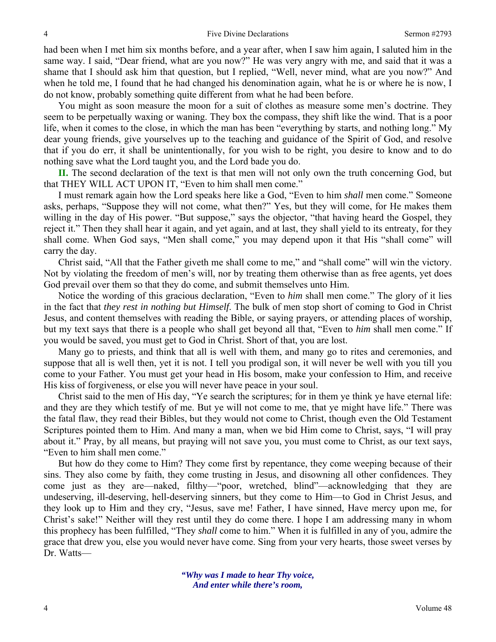had been when I met him six months before, and a year after, when I saw him again, I saluted him in the same way. I said, "Dear friend, what are you now?" He was very angry with me, and said that it was a shame that I should ask him that question, but I replied, "Well, never mind, what are you now?" And when he told me, I found that he had changed his denomination again, what he is or where he is now, I do not know, probably something quite different from what he had been before.

You might as soon measure the moon for a suit of clothes as measure some men's doctrine. They seem to be perpetually waxing or waning. They box the compass, they shift like the wind. That is a poor life, when it comes to the close, in which the man has been "everything by starts, and nothing long." My dear young friends, give yourselves up to the teaching and guidance of the Spirit of God, and resolve that if you do err, it shall be unintentionally, for you wish to be right, you desire to know and to do nothing save what the Lord taught you, and the Lord bade you do.

**II.** The second declaration of the text is that men will not only own the truth concerning God, but that THEY WILL ACT UPON IT, "Even to him shall men come."

I must remark again how the Lord speaks here like a God, "Even to him *shall* men come." Someone asks, perhaps, "Suppose they will not come, what then?" Yes, but they will come, for He makes them willing in the day of His power. "But suppose," says the objector, "that having heard the Gospel, they reject it." Then they shall hear it again, and yet again, and at last, they shall yield to its entreaty, for they shall come. When God says, "Men shall come," you may depend upon it that His "shall come" will carry the day.

Christ said, "All that the Father giveth me shall come to me," and "shall come" will win the victory. Not by violating the freedom of men's will, nor by treating them otherwise than as free agents, yet does God prevail over them so that they do come, and submit themselves unto Him.

Notice the wording of this gracious declaration, "Even to *him* shall men come." The glory of it lies in the fact that *they rest in nothing but Himself*. The bulk of men stop short of coming to God in Christ Jesus, and content themselves with reading the Bible, or saying prayers, or attending places of worship, but my text says that there is a people who shall get beyond all that, "Even to *him* shall men come." If you would be saved, you must get to God in Christ. Short of that, you are lost.

Many go to priests, and think that all is well with them, and many go to rites and ceremonies, and suppose that all is well then, yet it is not. I tell you prodigal son, it will never be well with you till you come to your Father. You must get your head in His bosom, make your confession to Him, and receive His kiss of forgiveness, or else you will never have peace in your soul.

Christ said to the men of His day, "Ye search the scriptures; for in them ye think ye have eternal life: and they are they which testify of me. But ye will not come to me, that ye might have life." There was the fatal flaw, they read their Bibles, but they would not come to Christ, though even the Old Testament Scriptures pointed them to Him. And many a man, when we bid Him come to Christ, says, "I will pray about it." Pray, by all means, but praying will not save you, you must come to Christ, as our text says, "Even to him shall men come."

But how do they come to Him? They come first by repentance, they come weeping because of their sins. They also come by faith, they come trusting in Jesus, and disowning all other confidences. They come just as they are—naked, filthy—"poor, wretched, blind"—acknowledging that they are undeserving, ill-deserving, hell-deserving sinners, but they come to Him—to God in Christ Jesus, and they look up to Him and they cry, "Jesus, save me! Father, I have sinned, Have mercy upon me, for Christ's sake!" Neither will they rest until they do come there. I hope I am addressing many in whom this prophecy has been fulfilled, "They *shall* come to him." When it is fulfilled in any of you, admire the grace that drew you, else you would never have come. Sing from your very hearts, those sweet verses by Dr. Watts—

> *"Why was I made to hear Thy voice, And enter while there's room,*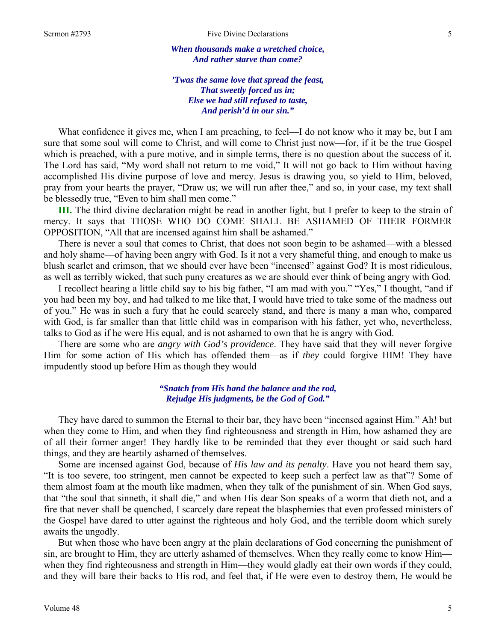*When thousands make a wretched choice, And rather starve than come?* 

*'Twas the same love that spread the feast, That sweetly forced us in; Else we had still refused to taste, And perish'd in our sin."* 

What confidence it gives me, when I am preaching, to feel—I do not know who it may be, but I am sure that some soul will come to Christ, and will come to Christ just now—for, if it be the true Gospel which is preached, with a pure motive, and in simple terms, there is no question about the success of it. The Lord has said, "My word shall not return to me void," It will not go back to Him without having accomplished His divine purpose of love and mercy. Jesus is drawing you, so yield to Him, beloved, pray from your hearts the prayer, "Draw us; we will run after thee," and so, in your case, my text shall be blessedly true, "Even to him shall men come."

**III.** The third divine declaration might be read in another light, but I prefer to keep to the strain of mercy. It says that THOSE WHO DO COME SHALL BE ASHAMED OF THEIR FORMER OPPOSITION, "All that are incensed against him shall be ashamed."

There is never a soul that comes to Christ, that does not soon begin to be ashamed—with a blessed and holy shame—of having been angry with God. Is it not a very shameful thing, and enough to make us blush scarlet and crimson, that we should ever have been "incensed" against God? It is most ridiculous, as well as terribly wicked, that such puny creatures as we are should ever think of being angry with God.

I recollect hearing a little child say to his big father, "I am mad with you." "Yes," I thought, "and if you had been my boy, and had talked to me like that, I would have tried to take some of the madness out of you." He was in such a fury that he could scarcely stand, and there is many a man who, compared with God, is far smaller than that little child was in comparison with his father, yet who, nevertheless, talks to God as if he were His equal, and is not ashamed to own that he is angry with God.

There are some who are *angry with God's providence*. They have said that they will never forgive Him for some action of His which has offended them—as if *they* could forgive HIM! They have impudently stood up before Him as though they would—

### *"Snatch from His hand the balance and the rod, Rejudge His judgments, be the God of God."*

They have dared to summon the Eternal to their bar, they have been "incensed against Him." Ah! but when they come to Him, and when they find righteousness and strength in Him, how ashamed they are of all their former anger! They hardly like to be reminded that they ever thought or said such hard things, and they are heartily ashamed of themselves.

Some are incensed against God, because of *His law and its penalty*. Have you not heard them say, "It is too severe, too stringent, men cannot be expected to keep such a perfect law as that"? Some of them almost foam at the mouth like madmen, when they talk of the punishment of sin. When God says, that "the soul that sinneth, it shall die," and when His dear Son speaks of a worm that dieth not, and a fire that never shall be quenched, I scarcely dare repeat the blasphemies that even professed ministers of the Gospel have dared to utter against the righteous and holy God, and the terrible doom which surely awaits the ungodly.

But when those who have been angry at the plain declarations of God concerning the punishment of sin, are brought to Him, they are utterly ashamed of themselves. When they really come to know Him when they find righteousness and strength in Him—they would gladly eat their own words if they could, and they will bare their backs to His rod, and feel that, if He were even to destroy them, He would be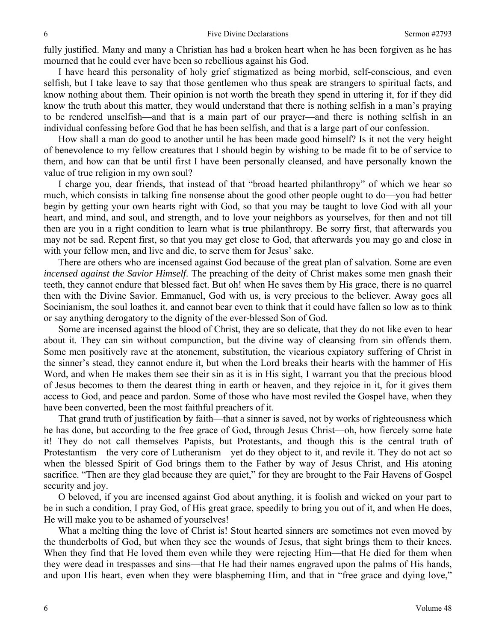fully justified. Many and many a Christian has had a broken heart when he has been forgiven as he has mourned that he could ever have been so rebellious against his God.

I have heard this personality of holy grief stigmatized as being morbid, self-conscious, and even selfish, but I take leave to say that those gentlemen who thus speak are strangers to spiritual facts, and know nothing about them. Their opinion is not worth the breath they spend in uttering it, for if they did know the truth about this matter, they would understand that there is nothing selfish in a man's praying to be rendered unselfish—and that is a main part of our prayer—and there is nothing selfish in an individual confessing before God that he has been selfish, and that is a large part of our confession.

How shall a man do good to another until he has been made good himself? Is it not the very height of benevolence to my fellow creatures that I should begin by wishing to be made fit to be of service to them, and how can that be until first I have been personally cleansed, and have personally known the value of true religion in my own soul?

I charge you, dear friends, that instead of that "broad hearted philanthropy" of which we hear so much, which consists in talking fine nonsense about the good other people ought to do—you had better begin by getting your own hearts right with God, so that you may be taught to love God with all your heart, and mind, and soul, and strength, and to love your neighbors as yourselves, for then and not till then are you in a right condition to learn what is true philanthropy. Be sorry first, that afterwards you may not be sad. Repent first, so that you may get close to God, that afterwards you may go and close in with your fellow men, and live and die, to serve them for Jesus' sake.

There are others who are incensed against God because of the great plan of salvation. Some are even *incensed against the Savior Himself*. The preaching of the deity of Christ makes some men gnash their teeth, they cannot endure that blessed fact. But oh! when He saves them by His grace, there is no quarrel then with the Divine Savior. Emmanuel, God with us, is very precious to the believer. Away goes all Socinianism, the soul loathes it, and cannot bear even to think that it could have fallen so low as to think or say anything derogatory to the dignity of the ever-blessed Son of God.

Some are incensed against the blood of Christ, they are so delicate, that they do not like even to hear about it. They can sin without compunction, but the divine way of cleansing from sin offends them. Some men positively rave at the atonement, substitution, the vicarious expiatory suffering of Christ in the sinner's stead, they cannot endure it, but when the Lord breaks their hearts with the hammer of His Word, and when He makes them see their sin as it is in His sight, I warrant you that the precious blood of Jesus becomes to them the dearest thing in earth or heaven, and they rejoice in it, for it gives them access to God, and peace and pardon. Some of those who have most reviled the Gospel have, when they have been converted, been the most faithful preachers of it.

That grand truth of justification by faith—that a sinner is saved, not by works of righteousness which he has done, but according to the free grace of God, through Jesus Christ—oh, how fiercely some hate it! They do not call themselves Papists, but Protestants, and though this is the central truth of Protestantism—the very core of Lutheranism—yet do they object to it, and revile it. They do not act so when the blessed Spirit of God brings them to the Father by way of Jesus Christ, and His atoning sacrifice. "Then are they glad because they are quiet," for they are brought to the Fair Havens of Gospel security and joy.

O beloved, if you are incensed against God about anything, it is foolish and wicked on your part to be in such a condition, I pray God, of His great grace, speedily to bring you out of it, and when He does, He will make you to be ashamed of yourselves!

What a melting thing the love of Christ is! Stout hearted sinners are sometimes not even moved by the thunderbolts of God, but when they see the wounds of Jesus, that sight brings them to their knees. When they find that He loved them even while they were rejecting Him—that He died for them when they were dead in trespasses and sins—that He had their names engraved upon the palms of His hands, and upon His heart, even when they were blaspheming Him, and that in "free grace and dying love,"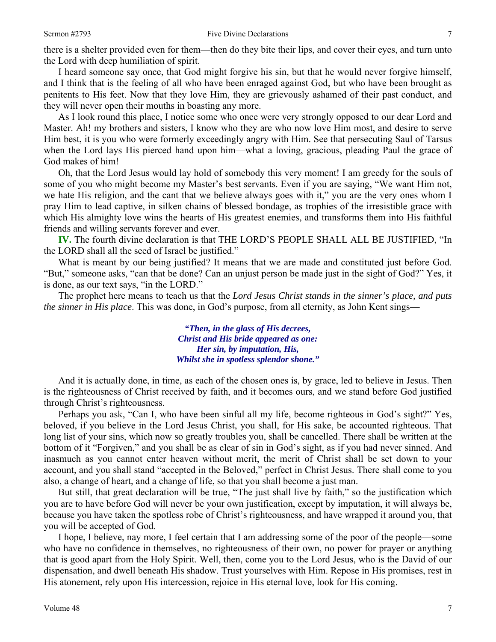there is a shelter provided even for them—then do they bite their lips, and cover their eyes, and turn unto the Lord with deep humiliation of spirit.

I heard someone say once, that God might forgive his sin, but that he would never forgive himself, and I think that is the feeling of all who have been enraged against God, but who have been brought as penitents to His feet. Now that they love Him, they are grievously ashamed of their past conduct, and they will never open their mouths in boasting any more.

As I look round this place, I notice some who once were very strongly opposed to our dear Lord and Master. Ah! my brothers and sisters, I know who they are who now love Him most, and desire to serve Him best, it is you who were formerly exceedingly angry with Him. See that persecuting Saul of Tarsus when the Lord lays His pierced hand upon him—what a loving, gracious, pleading Paul the grace of God makes of him!

Oh, that the Lord Jesus would lay hold of somebody this very moment! I am greedy for the souls of some of you who might become my Master's best servants. Even if you are saying, "We want Him not, we hate His religion, and the cant that we believe always goes with it," you are the very ones whom I pray Him to lead captive, in silken chains of blessed bondage, as trophies of the irresistible grace with which His almighty love wins the hearts of His greatest enemies, and transforms them into His faithful friends and willing servants forever and ever.

**IV.** The fourth divine declaration is that THE LORD'S PEOPLE SHALL ALL BE JUSTIFIED, "In the LORD shall all the seed of Israel be justified."

What is meant by our being justified? It means that we are made and constituted just before God. "But," someone asks, "can that be done? Can an unjust person be made just in the sight of God?" Yes, it is done, as our text says, "in the LORD."

The prophet here means to teach us that the *Lord Jesus Christ stands in the sinner's place, and puts the sinner in His place*. This was done, in God's purpose, from all eternity, as John Kent sings—

> *"Then, in the glass of His decrees, Christ and His bride appeared as one: Her sin, by imputation, His, Whilst she in spotless splendor shone."*

And it is actually done, in time, as each of the chosen ones is, by grace, led to believe in Jesus. Then is the righteousness of Christ received by faith, and it becomes ours, and we stand before God justified through Christ's righteousness.

Perhaps you ask, "Can I, who have been sinful all my life, become righteous in God's sight?" Yes, beloved, if you believe in the Lord Jesus Christ, you shall, for His sake, be accounted righteous. That long list of your sins, which now so greatly troubles you, shall be cancelled. There shall be written at the bottom of it "Forgiven," and you shall be as clear of sin in God's sight, as if you had never sinned. And inasmuch as you cannot enter heaven without merit, the merit of Christ shall be set down to your account, and you shall stand "accepted in the Beloved," perfect in Christ Jesus. There shall come to you also, a change of heart, and a change of life, so that you shall become a just man.

But still, that great declaration will be true, "The just shall live by faith," so the justification which you are to have before God will never be your own justification, except by imputation, it will always be, because you have taken the spotless robe of Christ's righteousness, and have wrapped it around you, that you will be accepted of God.

I hope, I believe, nay more, I feel certain that I am addressing some of the poor of the people—some who have no confidence in themselves, no righteousness of their own, no power for prayer or anything that is good apart from the Holy Spirit. Well, then, come you to the Lord Jesus, who is the David of our dispensation, and dwell beneath His shadow. Trust yourselves with Him. Repose in His promises, rest in His atonement, rely upon His intercession, rejoice in His eternal love, look for His coming.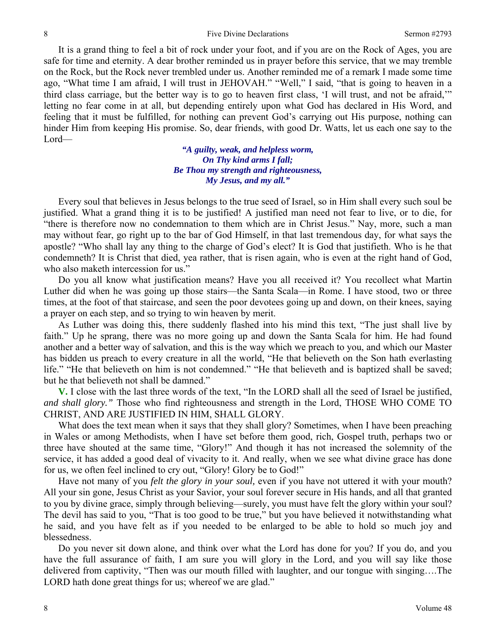It is a grand thing to feel a bit of rock under your foot, and if you are on the Rock of Ages, you are safe for time and eternity. A dear brother reminded us in prayer before this service, that we may tremble on the Rock, but the Rock never trembled under us. Another reminded me of a remark I made some time ago, "What time I am afraid, I will trust in JEHOVAH." "Well," I said, "that is going to heaven in a third class carriage, but the better way is to go to heaven first class, 'I will trust, and not be afraid,'" letting no fear come in at all, but depending entirely upon what God has declared in His Word, and feeling that it must be fulfilled, for nothing can prevent God's carrying out His purpose, nothing can hinder Him from keeping His promise. So, dear friends, with good Dr. Watts, let us each one say to the Lord—

> *"A guilty, weak, and helpless worm, On Thy kind arms I fall; Be Thou my strength and righteousness, My Jesus, and my all."*

Every soul that believes in Jesus belongs to the true seed of Israel, so in Him shall every such soul be justified. What a grand thing it is to be justified! A justified man need not fear to live, or to die, for "there is therefore now no condemnation to them which are in Christ Jesus." Nay, more, such a man may without fear, go right up to the bar of God Himself, in that last tremendous day, for what says the apostle? "Who shall lay any thing to the charge of God's elect? It is God that justifieth. Who is he that condemneth? It is Christ that died, yea rather, that is risen again, who is even at the right hand of God, who also maketh intercession for us."

Do you all know what justification means? Have you all received it? You recollect what Martin Luther did when he was going up those stairs—the Santa Scala—in Rome. I have stood, two or three times, at the foot of that staircase, and seen the poor devotees going up and down, on their knees, saying a prayer on each step, and so trying to win heaven by merit.

As Luther was doing this, there suddenly flashed into his mind this text, "The just shall live by faith." Up he sprang, there was no more going up and down the Santa Scala for him. He had found another and a better way of salvation, and this is the way which we preach to you, and which our Master has bidden us preach to every creature in all the world, "He that believeth on the Son hath everlasting life." "He that believeth on him is not condemned." "He that believeth and is baptized shall be saved; but he that believeth not shall be damned."

**V.** I close with the last three words of the text, "In the LORD shall all the seed of Israel be justified, *and shall glory."* Those who find righteousness and strength in the Lord, THOSE WHO COME TO CHRIST, AND ARE JUSTIFIED IN HIM, SHALL GLORY.

What does the text mean when it says that they shall glory? Sometimes, when I have been preaching in Wales or among Methodists, when I have set before them good, rich, Gospel truth, perhaps two or three have shouted at the same time, "Glory!" And though it has not increased the solemnity of the service, it has added a good deal of vivacity to it. And really, when we see what divine grace has done for us, we often feel inclined to cry out, "Glory! Glory be to God!"

Have not many of you *felt the glory in your soul,* even if you have not uttered it with your mouth? All your sin gone, Jesus Christ as your Savior, your soul forever secure in His hands, and all that granted to you by divine grace, simply through believing—surely, you must have felt the glory within your soul? The devil has said to you, "That is too good to be true," but you have believed it notwithstanding what he said, and you have felt as if you needed to be enlarged to be able to hold so much joy and blessedness.

Do you never sit down alone, and think over what the Lord has done for you? If you do, and you have the full assurance of faith, I am sure you will glory in the Lord, and you will say like those delivered from captivity, "Then was our mouth filled with laughter, and our tongue with singing….The LORD hath done great things for us; where of we are glad."